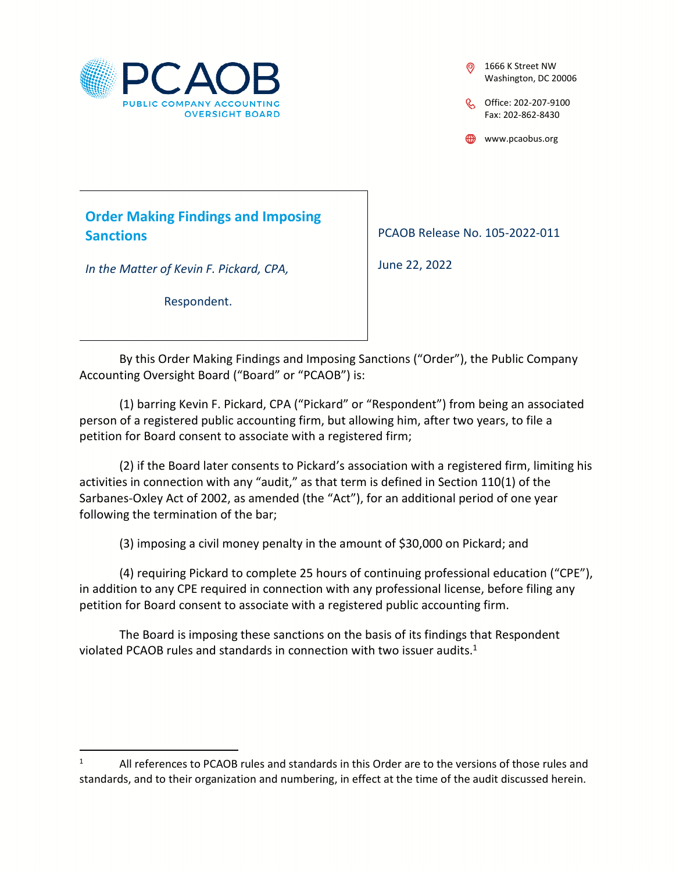

1666 K Street NW Washington, DC 20006

C Office: 202-207-9100 Fax: 202-862-8430

www.pcaobus.org

**Order Making Findings and Imposing Sanctions** 

*In the Matter of Kevin F. Pickard, CPA,* 

Respondent.

PCAOB Release No. 105-2022-011

June 22, 2022

By this Order Making Findings and Imposing Sanctions ("Order"), the Public Company Accounting Oversight Board ("Board" or "PCAOB") is:

(1) barring Kevin F. Pickard, CPA ("Pickard" or "Respondent") from being an associated person of a registered public accounting firm, but allowing him, after two years, to file a petition for Board consent to associate with a registered firm;

(2) if the Board later consents to Pickard's association with a registered firm, limiting his activities in connection with any "audit," as that term is defined in Section 110(1) of the Sarbanes-Oxley Act of 2002, as amended (the "Act"), for an additional period of one year following the termination of the bar;

(3) imposing a civil money penalty in the amount of \$30,000 on Pickard; and

(4) requiring Pickard to complete 25 hours of continuing professional education ("CPE"), in addition to any CPE required in connection with any professional license, before filing any petition for Board consent to associate with a registered public accounting firm.

The Board is imposing these sanctions on the basis of its findings that Respondent violated PCAOB rules and standards in connection with two issuer audits.<sup>1</sup>

<sup>1</sup> All references to PCAOB rules and standards in this Order are to the versions of those rules and standards, and to their organization and numbering, in effect at the time of the audit discussed herein.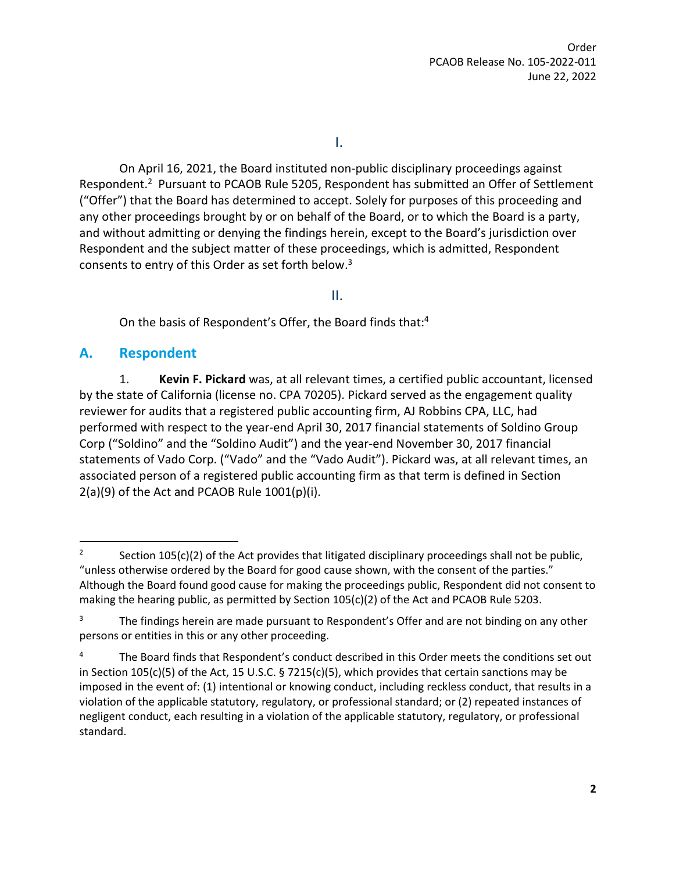I.

On April 16, 2021, the Board instituted non-public disciplinary proceedings against Respondent.<sup>2</sup> Pursuant to PCAOB Rule 5205, Respondent has submitted an Offer of Settlement ("Offer") that the Board has determined to accept. Solely for purposes of this proceeding and any other proceedings brought by or on behalf of the Board, or to which the Board is a party, and without admitting or denying the findings herein, except to the Board's jurisdiction over Respondent and the subject matter of these proceedings, which is admitted, Respondent consents to entry of this Order as set forth below.<sup>3</sup>

II.

On the basis of Respondent's Offer, the Board finds that:<sup>4</sup>

## **A. Respondent**

1. **Kevin F. Pickard** was, at all relevant times, a certified public accountant, licensed by the state of California (license no. CPA 70205). Pickard served as the engagement quality reviewer for audits that a registered public accounting firm, AJ Robbins CPA, LLC, had performed with respect to the year-end April 30, 2017 financial statements of Soldino Group Corp ("Soldino" and the "Soldino Audit") and the year-end November 30, 2017 financial statements of Vado Corp. ("Vado" and the "Vado Audit"). Pickard was, at all relevant times, an associated person of a registered public accounting firm as that term is defined in Section  $2(a)(9)$  of the Act and PCAOB Rule  $1001(p)(i)$ .

<sup>2</sup> Section 105(c)(2) of the Act provides that litigated disciplinary proceedings shall not be public, "unless otherwise ordered by the Board for good cause shown, with the consent of the parties." Although the Board found good cause for making the proceedings public, Respondent did not consent to making the hearing public, as permitted by Section 105(c)(2) of the Act and PCAOB Rule 5203.

<sup>3</sup> The findings herein are made pursuant to Respondent's Offer and are not binding on any other persons or entities in this or any other proceeding.

<sup>4</sup> The Board finds that Respondent's conduct described in this Order meets the conditions set out in Section 105(c)(5) of the Act, 15 U.S.C. § 7215(c)(5), which provides that certain sanctions may be imposed in the event of: (1) intentional or knowing conduct, including reckless conduct, that results in a violation of the applicable statutory, regulatory, or professional standard; or (2) repeated instances of negligent conduct, each resulting in a violation of the applicable statutory, regulatory, or professional standard.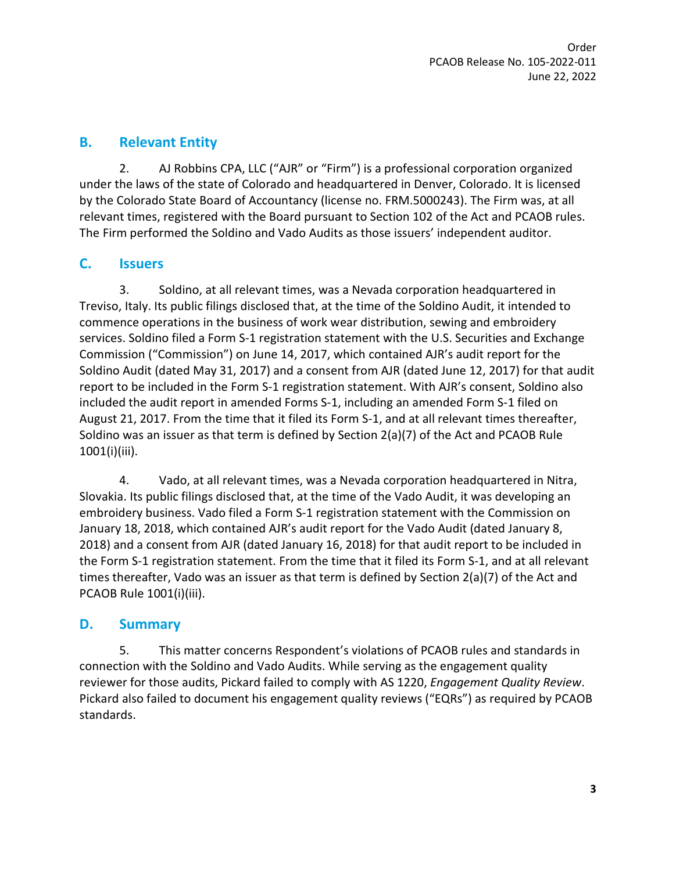# **B. Relevant Entity**

2. AJ Robbins CPA, LLC ("AJR" or "Firm") is a professional corporation organized under the laws of the state of Colorado and headquartered in Denver, Colorado. It is licensed by the Colorado State Board of Accountancy (license no. FRM.5000243). The Firm was, at all relevant times, registered with the Board pursuant to Section 102 of the Act and PCAOB rules. The Firm performed the Soldino and Vado Audits as those issuers' independent auditor.

# **C. Issuers**

3. Soldino, at all relevant times, was a Nevada corporation headquartered in Treviso, Italy. Its public filings disclosed that, at the time of the Soldino Audit, it intended to commence operations in the business of work wear distribution, sewing and embroidery services. Soldino filed a Form S-1 registration statement with the U.S. Securities and Exchange Commission ("Commission") on June 14, 2017, which contained AJR's audit report for the Soldino Audit (dated May 31, 2017) and a consent from AJR (dated June 12, 2017) for that audit report to be included in the Form S-1 registration statement. With AJR's consent, Soldino also included the audit report in amended Forms S-1, including an amended Form S-1 filed on August 21, 2017. From the time that it filed its Form S-1, and at all relevant times thereafter, Soldino was an issuer as that term is defined by Section 2(a)(7) of the Act and PCAOB Rule 1001(i)(iii).

4. Vado, at all relevant times, was a Nevada corporation headquartered in Nitra, Slovakia. Its public filings disclosed that, at the time of the Vado Audit, it was developing an embroidery business. Vado filed a Form S-1 registration statement with the Commission on January 18, 2018, which contained AJR's audit report for the Vado Audit (dated January 8, 2018) and a consent from AJR (dated January 16, 2018) for that audit report to be included in the Form S-1 registration statement. From the time that it filed its Form S-1, and at all relevant times thereafter, Vado was an issuer as that term is defined by Section 2(a)(7) of the Act and PCAOB Rule 1001(i)(iii).

# **D. Summary**

5. This matter concerns Respondent's violations of PCAOB rules and standards in connection with the Soldino and Vado Audits. While serving as the engagement quality reviewer for those audits, Pickard failed to comply with AS 1220, *Engagement Quality Review*. Pickard also failed to document his engagement quality reviews ("EQRs") as required by PCAOB standards.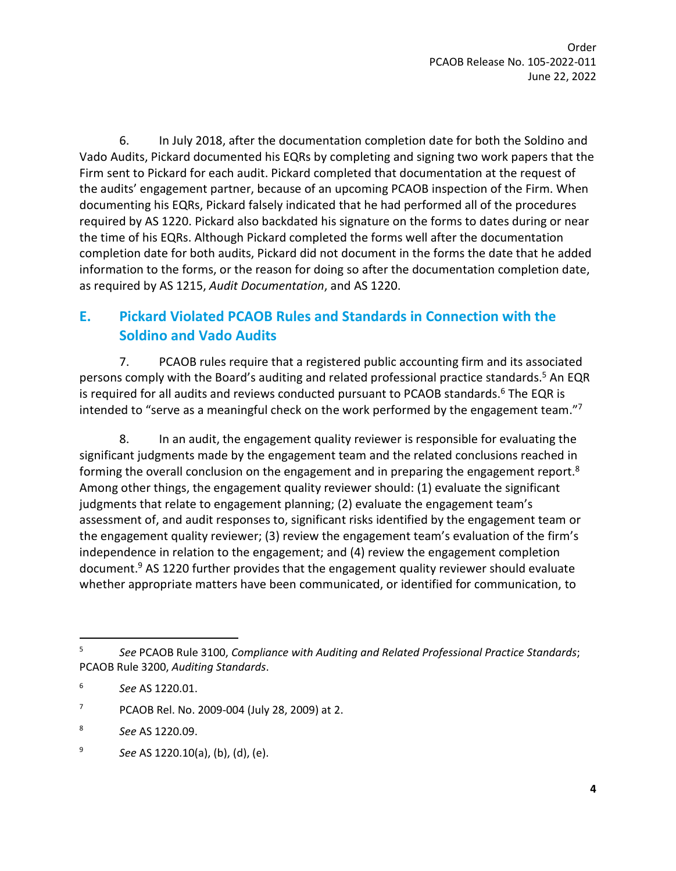6. In July 2018, after the documentation completion date for both the Soldino and Vado Audits, Pickard documented his EQRs by completing and signing two work papers that the Firm sent to Pickard for each audit. Pickard completed that documentation at the request of the audits' engagement partner, because of an upcoming PCAOB inspection of the Firm. When documenting his EQRs, Pickard falsely indicated that he had performed all of the procedures required by AS 1220. Pickard also backdated his signature on the forms to dates during or near the time of his EQRs. Although Pickard completed the forms well after the documentation completion date for both audits, Pickard did not document in the forms the date that he added information to the forms, or the reason for doing so after the documentation completion date, as required by AS 1215, *Audit Documentation*, and AS 1220.

# **E. Pickard Violated PCAOB Rules and Standards in Connection with the Soldino and Vado Audits**

7. PCAOB rules require that a registered public accounting firm and its associated persons comply with the Board's auditing and related professional practice standards.<sup>5</sup> An EQR is required for all audits and reviews conducted pursuant to PCAOB standards.<sup>6</sup> The EQR is intended to "serve as a meaningful check on the work performed by the engagement team."<sup>7</sup>

8. In an audit, the engagement quality reviewer is responsible for evaluating the significant judgments made by the engagement team and the related conclusions reached in forming the overall conclusion on the engagement and in preparing the engagement report.<sup>8</sup> Among other things, the engagement quality reviewer should: (1) evaluate the significant judgments that relate to engagement planning; (2) evaluate the engagement team's assessment of, and audit responses to, significant risks identified by the engagement team or the engagement quality reviewer; (3) review the engagement team's evaluation of the firm's independence in relation to the engagement; and (4) review the engagement completion document.<sup>9</sup> AS 1220 further provides that the engagement quality reviewer should evaluate whether appropriate matters have been communicated, or identified for communication, to

- 7 PCAOB Rel. No. 2009-004 (July 28, 2009) at 2.
- 8 *See* AS 1220.09.
- 9 *See* AS 1220.10(a), (b), (d), (e).

<sup>5</sup> *See* PCAOB Rule 3100, *Compliance with Auditing and Related Professional Practice Standards*; PCAOB Rule 3200, *Auditing Standards*.

<sup>6</sup> *See* AS 1220.01.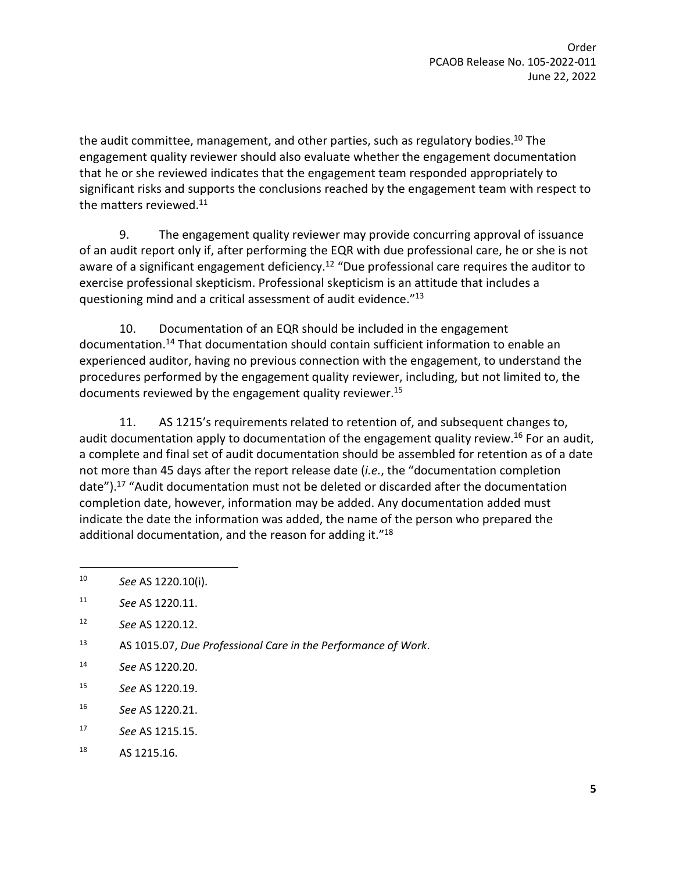the audit committee, management, and other parties, such as regulatory bodies.<sup>10</sup> The engagement quality reviewer should also evaluate whether the engagement documentation that he or she reviewed indicates that the engagement team responded appropriately to significant risks and supports the conclusions reached by the engagement team with respect to the matters reviewed.<sup>11</sup>

9. The engagement quality reviewer may provide concurring approval of issuance of an audit report only if, after performing the EQR with due professional care, he or she is not aware of a significant engagement deficiency.<sup>12</sup> "Due professional care requires the auditor to exercise professional skepticism. Professional skepticism is an attitude that includes a questioning mind and a critical assessment of audit evidence."<sup>13</sup>

10. Documentation of an EQR should be included in the engagement documentation.<sup>14</sup> That documentation should contain sufficient information to enable an experienced auditor, having no previous connection with the engagement, to understand the procedures performed by the engagement quality reviewer, including, but not limited to, the documents reviewed by the engagement quality reviewer.<sup>15</sup>

11. AS 1215's requirements related to retention of, and subsequent changes to, audit documentation apply to documentation of the engagement quality review.<sup>16</sup> For an audit, a complete and final set of audit documentation should be assembled for retention as of a date not more than 45 days after the report release date (*i.e.*, the "documentation completion date").<sup>17</sup> "Audit documentation must not be deleted or discarded after the documentation completion date, however, information may be added. Any documentation added must indicate the date the information was added, the name of the person who prepared the additional documentation, and the reason for adding it."<sup>18</sup>

- 15 *See* AS 1220.19.
- 16 *See* AS 1220.21.
- 17 *See* AS 1215.15.
- 18 AS 1215.16.

<sup>10</sup> *See* AS 1220.10(i).

<sup>11</sup> *See* AS 1220.11.

<sup>12</sup> *See* AS 1220.12.

<sup>13</sup> AS 1015.07, *Due Professional Care in the Performance of Work*.

<sup>14</sup> *See* AS 1220.20.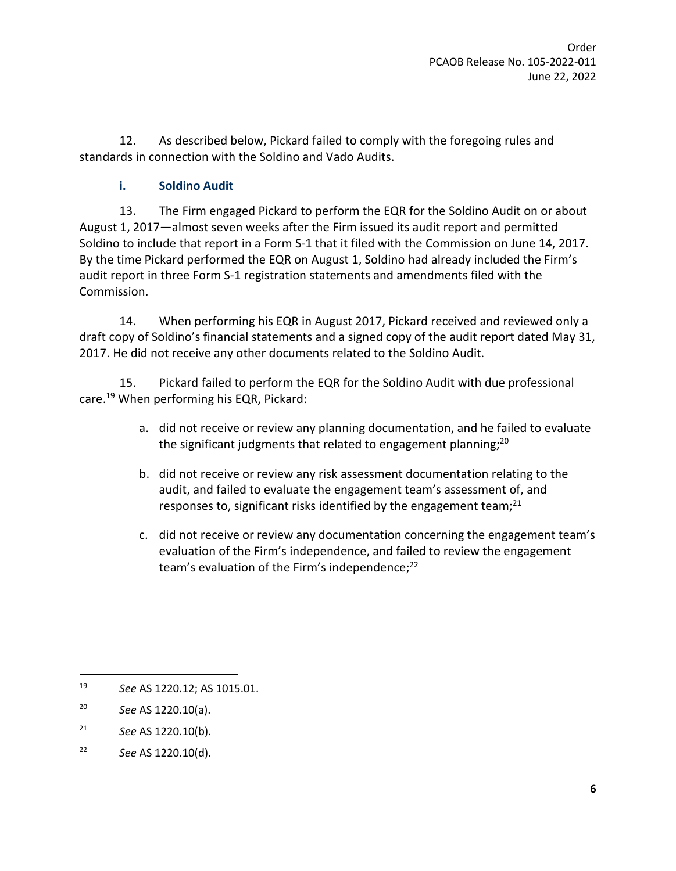12. As described below, Pickard failed to comply with the foregoing rules and standards in connection with the Soldino and Vado Audits.

## **i. Soldino Audit**

13. The Firm engaged Pickard to perform the EQR for the Soldino Audit on or about August 1, 2017—almost seven weeks after the Firm issued its audit report and permitted Soldino to include that report in a Form S-1 that it filed with the Commission on June 14, 2017. By the time Pickard performed the EQR on August 1, Soldino had already included the Firm's audit report in three Form S-1 registration statements and amendments filed with the Commission.

14. When performing his EQR in August 2017, Pickard received and reviewed only a draft copy of Soldino's financial statements and a signed copy of the audit report dated May 31, 2017. He did not receive any other documents related to the Soldino Audit.

15. Pickard failed to perform the EQR for the Soldino Audit with due professional care.<sup>19</sup> When performing his EQR, Pickard:

- a. did not receive or review any planning documentation, and he failed to evaluate the significant judgments that related to engagement planning;<sup>20</sup>
- b. did not receive or review any risk assessment documentation relating to the audit, and failed to evaluate the engagement team's assessment of, and responses to, significant risks identified by the engagement team; $^{21}$
- c. did not receive or review any documentation concerning the engagement team's evaluation of the Firm's independence, and failed to review the engagement team's evaluation of the Firm's independence;<sup>22</sup>

<sup>19</sup> *See* AS 1220.12; AS 1015.01.

<sup>20</sup> *See* AS 1220.10(a).

<sup>21</sup> *See* AS 1220.10(b).

<sup>22</sup> *See* AS 1220.10(d).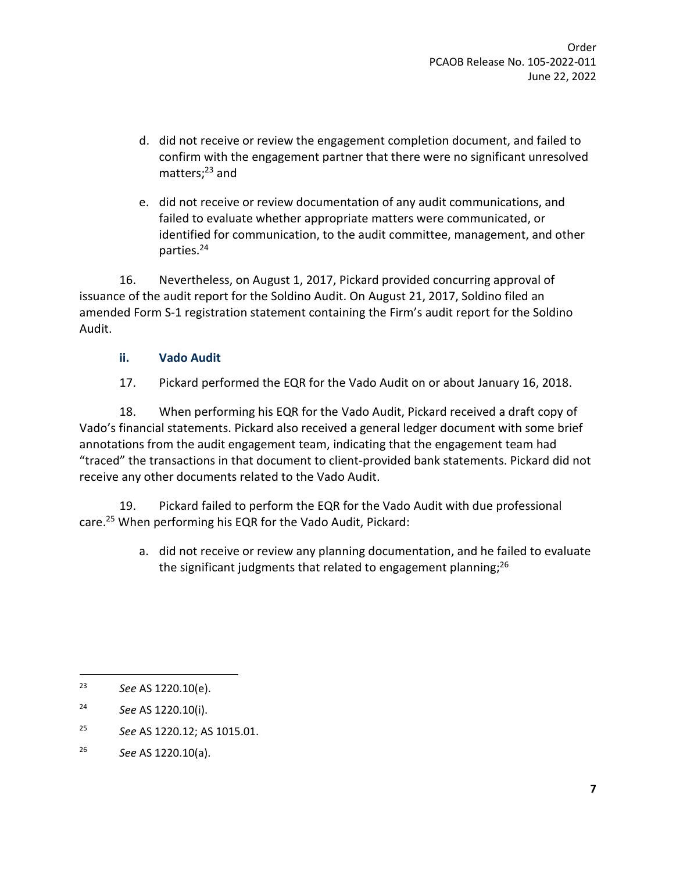- d. did not receive or review the engagement completion document, and failed to confirm with the engagement partner that there were no significant unresolved matters: $23$  and
- e. did not receive or review documentation of any audit communications, and failed to evaluate whether appropriate matters were communicated, or identified for communication, to the audit committee, management, and other parties.<sup>24</sup>

16. Nevertheless, on August 1, 2017, Pickard provided concurring approval of issuance of the audit report for the Soldino Audit. On August 21, 2017, Soldino filed an amended Form S-1 registration statement containing the Firm's audit report for the Soldino Audit.

### **ii. Vado Audit**

17. Pickard performed the EQR for the Vado Audit on or about January 16, 2018.

18. When performing his EQR for the Vado Audit, Pickard received a draft copy of Vado's financial statements. Pickard also received a general ledger document with some brief annotations from the audit engagement team, indicating that the engagement team had "traced" the transactions in that document to client-provided bank statements. Pickard did not receive any other documents related to the Vado Audit.

19. Pickard failed to perform the EQR for the Vado Audit with due professional care.<sup>25</sup> When performing his EQR for the Vado Audit, Pickard:

> a. did not receive or review any planning documentation, and he failed to evaluate the significant judgments that related to engagement planning;<sup>26</sup>

25 *See* AS 1220.12; AS 1015.01.

<sup>23</sup> *See* AS 1220.10(e).

<sup>24</sup> *See* AS 1220.10(i).

<sup>26</sup> *See* AS 1220.10(a).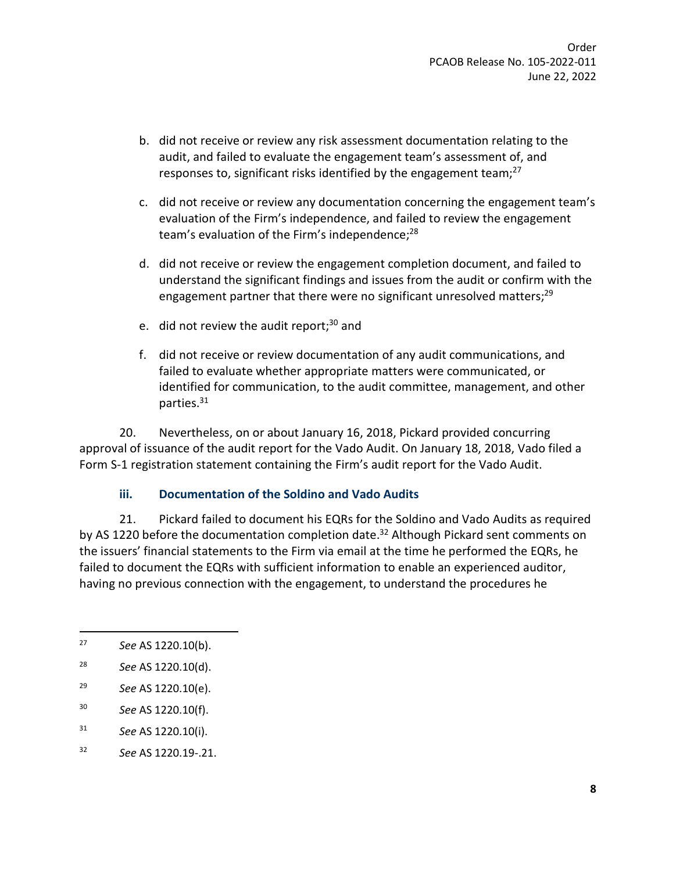- b. did not receive or review any risk assessment documentation relating to the audit, and failed to evaluate the engagement team's assessment of, and responses to, significant risks identified by the engagement team; $^{27}$
- c. did not receive or review any documentation concerning the engagement team's evaluation of the Firm's independence, and failed to review the engagement team's evaluation of the Firm's independence;<sup>28</sup>
- d. did not receive or review the engagement completion document, and failed to understand the significant findings and issues from the audit or confirm with the engagement partner that there were no significant unresolved matters;<sup>29</sup>
- e. did not review the audit report; $30$  and
- f. did not receive or review documentation of any audit communications, and failed to evaluate whether appropriate matters were communicated, or identified for communication, to the audit committee, management, and other parties.<sup>31</sup>

20. Nevertheless, on or about January 16, 2018, Pickard provided concurring approval of issuance of the audit report for the Vado Audit. On January 18, 2018, Vado filed a Form S-1 registration statement containing the Firm's audit report for the Vado Audit.

#### **iii. Documentation of the Soldino and Vado Audits**

21. Pickard failed to document his EQRs for the Soldino and Vado Audits as required by AS 1220 before the documentation completion date.<sup>32</sup> Although Pickard sent comments on the issuers' financial statements to the Firm via email at the time he performed the EQRs, he failed to document the EQRs with sufficient information to enable an experienced auditor, having no previous connection with the engagement, to understand the procedures he

- 31 *See* AS 1220.10(i).
- 32 *See* AS 1220.19-.21.

<sup>27</sup> *See* AS 1220.10(b).

<sup>28</sup> *See* AS 1220.10(d).

<sup>29</sup> *See* AS 1220.10(e).

<sup>30</sup> *See* AS 1220.10(f).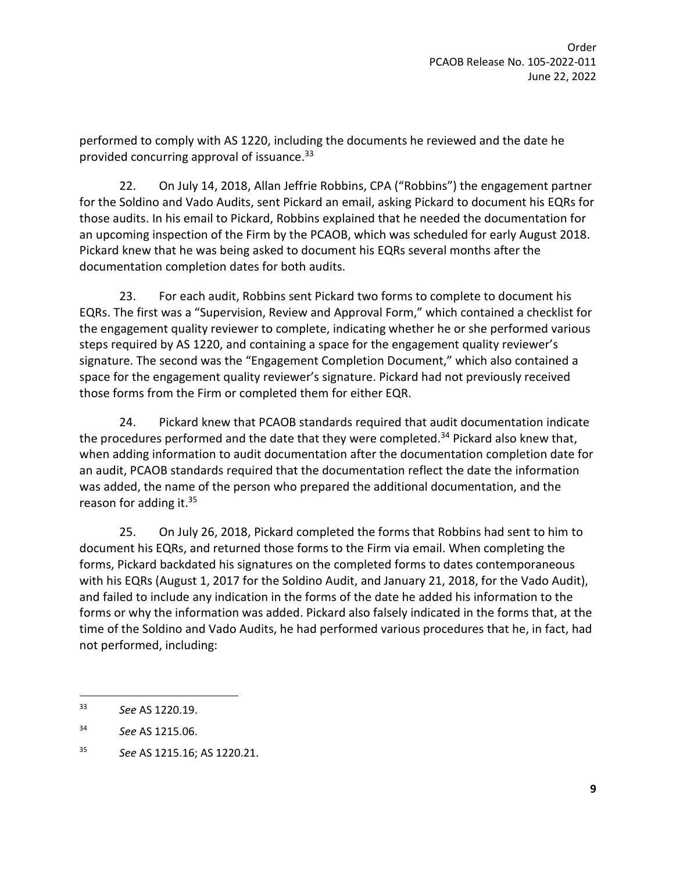performed to comply with AS 1220, including the documents he reviewed and the date he provided concurring approval of issuance.<sup>33</sup>

22. On July 14, 2018, Allan Jeffrie Robbins, CPA ("Robbins") the engagement partner for the Soldino and Vado Audits, sent Pickard an email, asking Pickard to document his EQRs for those audits. In his email to Pickard, Robbins explained that he needed the documentation for an upcoming inspection of the Firm by the PCAOB, which was scheduled for early August 2018. Pickard knew that he was being asked to document his EQRs several months after the documentation completion dates for both audits.

23. For each audit, Robbins sent Pickard two forms to complete to document his EQRs. The first was a "Supervision, Review and Approval Form," which contained a checklist for the engagement quality reviewer to complete, indicating whether he or she performed various steps required by AS 1220, and containing a space for the engagement quality reviewer's signature. The second was the "Engagement Completion Document," which also contained a space for the engagement quality reviewer's signature. Pickard had not previously received those forms from the Firm or completed them for either EQR.

24. Pickard knew that PCAOB standards required that audit documentation indicate the procedures performed and the date that they were completed.<sup>34</sup> Pickard also knew that, when adding information to audit documentation after the documentation completion date for an audit, PCAOB standards required that the documentation reflect the date the information was added, the name of the person who prepared the additional documentation, and the reason for adding it.<sup>35</sup>

25. On July 26, 2018, Pickard completed the forms that Robbins had sent to him to document his EQRs, and returned those forms to the Firm via email. When completing the forms, Pickard backdated his signatures on the completed forms to dates contemporaneous with his EQRs (August 1, 2017 for the Soldino Audit, and January 21, 2018, for the Vado Audit), and failed to include any indication in the forms of the date he added his information to the forms or why the information was added. Pickard also falsely indicated in the forms that, at the time of the Soldino and Vado Audits, he had performed various procedures that he, in fact, had not performed, including:

<sup>33</sup> *See* AS 1220.19.

<sup>34</sup> *See* AS 1215.06.

<sup>35</sup> *See* AS 1215.16; AS 1220.21.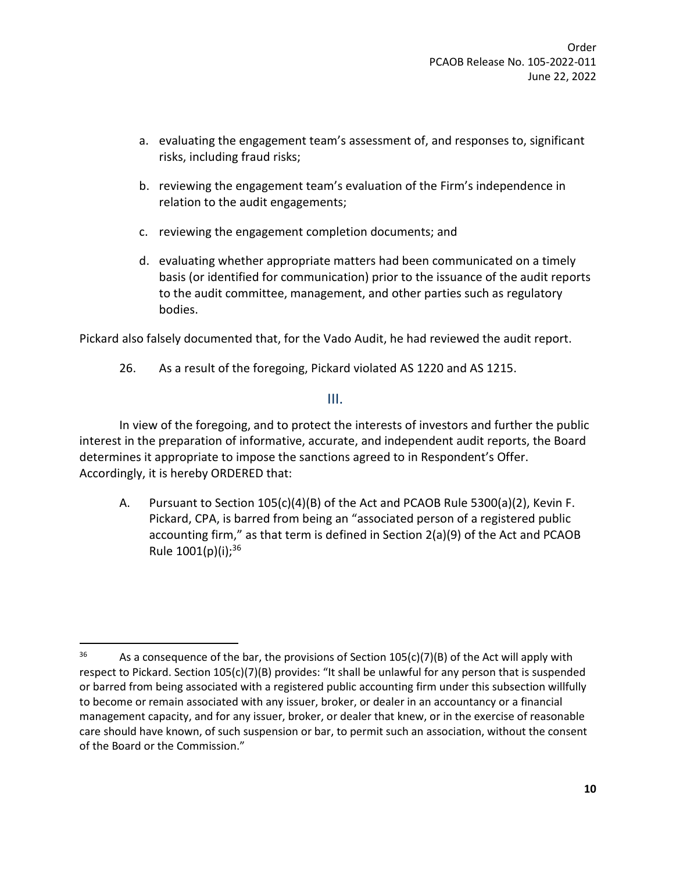- a. evaluating the engagement team's assessment of, and responses to, significant risks, including fraud risks;
- b. reviewing the engagement team's evaluation of the Firm's independence in relation to the audit engagements;
- c. reviewing the engagement completion documents; and
- d. evaluating whether appropriate matters had been communicated on a timely basis (or identified for communication) prior to the issuance of the audit reports to the audit committee, management, and other parties such as regulatory bodies.

Pickard also falsely documented that, for the Vado Audit, he had reviewed the audit report.

26. As a result of the foregoing, Pickard violated AS 1220 and AS 1215.

## III.

In view of the foregoing, and to protect the interests of investors and further the public interest in the preparation of informative, accurate, and independent audit reports, the Board determines it appropriate to impose the sanctions agreed to in Respondent's Offer. Accordingly, it is hereby ORDERED that:

A. Pursuant to Section 105(c)(4)(B) of the Act and PCAOB Rule 5300(a)(2), Kevin F. Pickard, CPA, is barred from being an "associated person of a registered public accounting firm," as that term is defined in Section 2(a)(9) of the Act and PCAOB Rule 1001(p)(i);<sup>36</sup>

<sup>&</sup>lt;sup>36</sup> As a consequence of the bar, the provisions of Section 105(c)(7)(B) of the Act will apply with respect to Pickard. Section 105(c)(7)(B) provides: "It shall be unlawful for any person that is suspended or barred from being associated with a registered public accounting firm under this subsection willfully to become or remain associated with any issuer, broker, or dealer in an accountancy or a financial management capacity, and for any issuer, broker, or dealer that knew, or in the exercise of reasonable care should have known, of such suspension or bar, to permit such an association, without the consent of the Board or the Commission."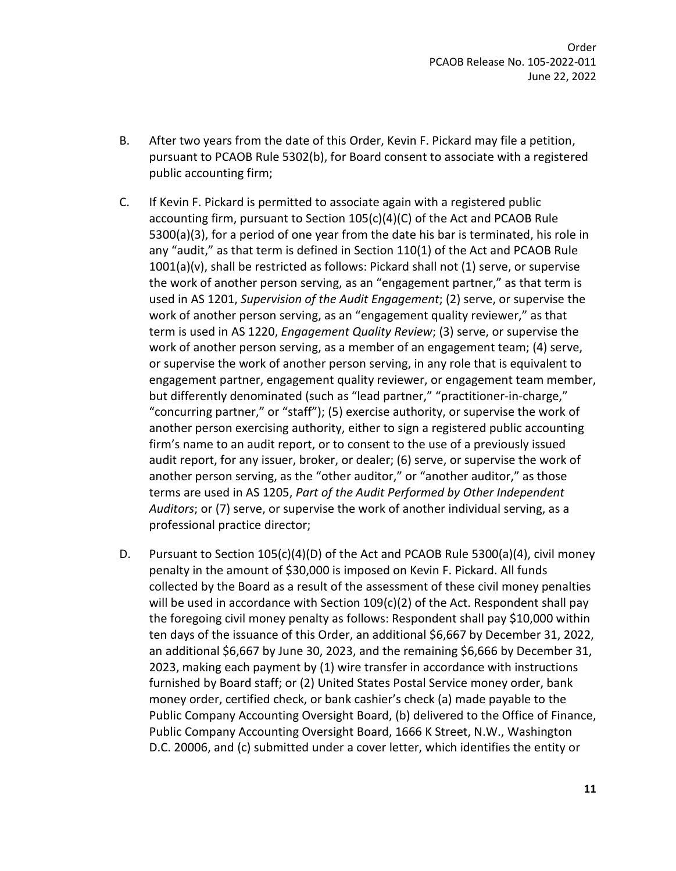- B. After two years from the date of this Order, Kevin F. Pickard may file a petition, pursuant to PCAOB Rule 5302(b), for Board consent to associate with a registered public accounting firm;
- C. If Kevin F. Pickard is permitted to associate again with a registered public accounting firm, pursuant to Section 105(c)(4)(C) of the Act and PCAOB Rule 5300(a)(3), for a period of one year from the date his bar is terminated, his role in any "audit," as that term is defined in Section 110(1) of the Act and PCAOB Rule 1001(a)(v), shall be restricted as follows: Pickard shall not (1) serve, or supervise the work of another person serving, as an "engagement partner," as that term is used in AS 1201, *Supervision of the Audit Engagement*; (2) serve, or supervise the work of another person serving, as an "engagement quality reviewer," as that term is used in AS 1220, *Engagement Quality Review*; (3) serve, or supervise the work of another person serving, as a member of an engagement team; (4) serve, or supervise the work of another person serving, in any role that is equivalent to engagement partner, engagement quality reviewer, or engagement team member, but differently denominated (such as "lead partner," "practitioner-in-charge," "concurring partner," or "staff"); (5) exercise authority, or supervise the work of another person exercising authority, either to sign a registered public accounting firm's name to an audit report, or to consent to the use of a previously issued audit report, for any issuer, broker, or dealer; (6) serve, or supervise the work of another person serving, as the "other auditor," or "another auditor," as those terms are used in AS 1205, *Part of the Audit Performed by Other Independent Auditors*; or (7) serve, or supervise the work of another individual serving, as a professional practice director;
- D. Pursuant to Section 105(c)(4)(D) of the Act and PCAOB Rule 5300(a)(4), civil money penalty in the amount of \$30,000 is imposed on Kevin F. Pickard. All funds collected by the Board as a result of the assessment of these civil money penalties will be used in accordance with Section 109(c)(2) of the Act. Respondent shall pay the foregoing civil money penalty as follows: Respondent shall pay \$10,000 within ten days of the issuance of this Order, an additional \$6,667 by December 31, 2022, an additional \$6,667 by June 30, 2023, and the remaining \$6,666 by December 31, 2023, making each payment by (1) wire transfer in accordance with instructions furnished by Board staff; or (2) United States Postal Service money order, bank money order, certified check, or bank cashier's check (a) made payable to the Public Company Accounting Oversight Board, (b) delivered to the Office of Finance, Public Company Accounting Oversight Board, 1666 K Street, N.W., Washington D.C. 20006, and (c) submitted under a cover letter, which identifies the entity or